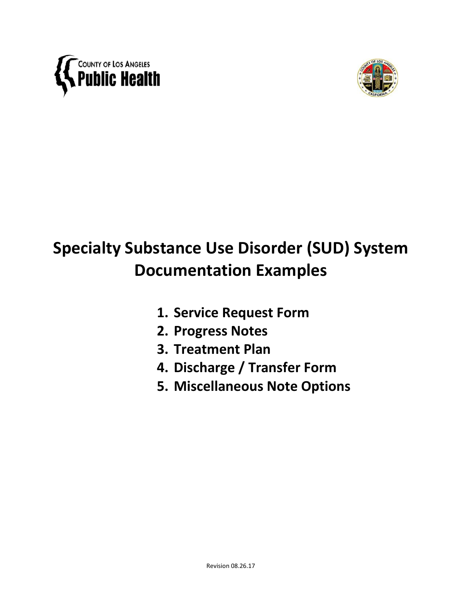



# **Specialty Substance Use Disorder (SUD) System Documentation Examples**

- **1. Service Request Form**
- **2. Progress Notes**
- **3. Treatment Plan**
- **4. Discharge / Transfer Form**
- **5. Miscellaneous Note Options**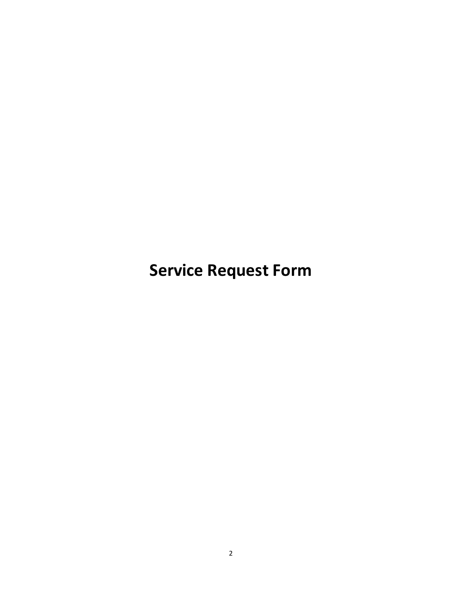**Service Request Form**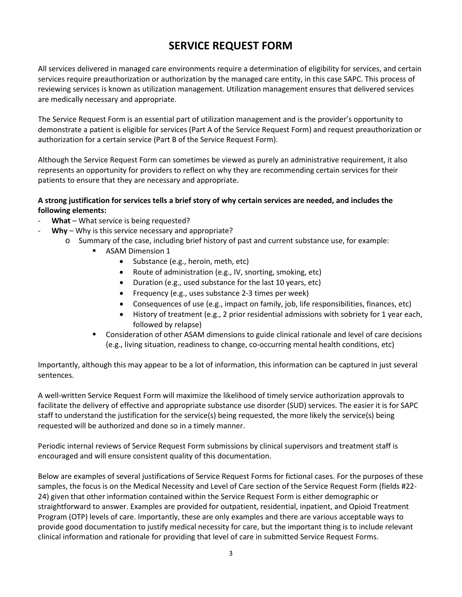# **SERVICE REQUEST FORM**

All services delivered in managed care environments require a determination of eligibility for services, and certain services require preauthorization or authorization by the managed care entity, in this case SAPC. This process of reviewing services is known as utilization management. Utilization management ensures that delivered services are medically necessary and appropriate.

The Service Request Form is an essential part of utilization management and is the provider's opportunity to demonstrate a patient is eligible for services (Part A of the Service Request Form) and request preauthorization or authorization for a certain service (Part B of the Service Request Form).

Although the Service Request Form can sometimes be viewed as purely an administrative requirement, it also represents an opportunity for providers to reflect on why they are recommending certain services for their patients to ensure that they are necessary and appropriate.

## **A strong justification for services tells a brief story of why certain services are needed, and includes the following elements:**

- What What service is being requested?
- Why Why is this service necessary and appropriate?
	- o Summary of the case, including brief history of past and current substance use, for example:
		- **ASAM Dimension 1** 
			- Substance (e.g., heroin, meth, etc)
			- Route of administration (e.g., IV, snorting, smoking, etc)
			- Duration (e.g., used substance for the last 10 years, etc)
			- Frequency (e.g., uses substance 2-3 times per week)
			- Consequences of use (e.g., impact on family, job, life responsibilities, finances, etc)
			- History of treatment (e.g., 2 prior residential admissions with sobriety for 1 year each, followed by relapse)
		- **Consideration of other ASAM dimensions to guide clinical rationale and level of care decisions** (e.g., living situation, readiness to change, co-occurring mental health conditions, etc)

Importantly, although this may appear to be a lot of information, this information can be captured in just several sentences.

A well-written Service Request Form will maximize the likelihood of timely service authorization approvals to facilitate the delivery of effective and appropriate substance use disorder (SUD) services. The easier it is for SAPC staff to understand the justification for the service(s) being requested, the more likely the service(s) being requested will be authorized and done so in a timely manner.

Periodic internal reviews of Service Request Form submissions by clinical supervisors and treatment staff is encouraged and will ensure consistent quality of this documentation.

Below are examples of several justifications of Service Request Forms for fictional cases. For the purposes of these samples, the focus is on the Medical Necessity and Level of Care section of the Service Request Form (fields #22- 24) given that other information contained within the Service Request Form is either demographic or straightforward to answer. Examples are provided for outpatient, residential, inpatient, and Opioid Treatment Program (OTP) levels of care. Importantly, these are only examples and there are various acceptable ways to provide good documentation to justify medical necessity for care, but the important thing is to include relevant clinical information and rationale for providing that level of care in submitted Service Request Forms.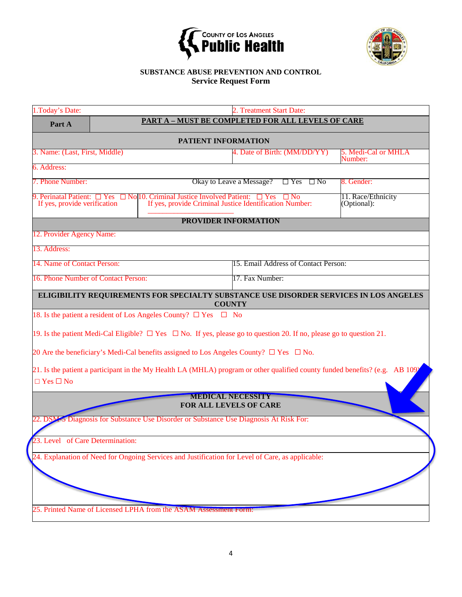



## **SUBSTANCE ABUSE PREVENTION AND CONTROL Service Request Form**

| 1. Today's Date:                                      |                              |                                                                                                                                |                             | 2. Treatment Start Date:             |           |                                                                                                                             |  |  |
|-------------------------------------------------------|------------------------------|--------------------------------------------------------------------------------------------------------------------------------|-----------------------------|--------------------------------------|-----------|-----------------------------------------------------------------------------------------------------------------------------|--|--|
| Part A                                                |                              | <b>PART A - MUST BE COMPLETED FOR ALL LEVELS OF CARE</b>                                                                       |                             |                                      |           |                                                                                                                             |  |  |
|                                                       | <b>PATIENT INFORMATION</b>   |                                                                                                                                |                             |                                      |           |                                                                                                                             |  |  |
| 3. Name: (Last, First, Middle)                        |                              |                                                                                                                                |                             | 4. Date of Birth: (MM/DD/YY)         |           | 5. Medi-Cal or MHLA<br>Number:                                                                                              |  |  |
| 6. Address:                                           |                              |                                                                                                                                |                             |                                      |           |                                                                                                                             |  |  |
| 7. Phone Number:                                      |                              |                                                                                                                                | Okay to Leave a Message?    | $\Box$ Yes                           | $\Box$ No | 8. Gender:                                                                                                                  |  |  |
| 9. Perinatal Patient:<br>If yes, provide verification | <b>Yes</b>                   | $\Box$ No. 10. Criminal Justice Involved Patient: $\Box$ Yes<br>If yes, provide Criminal Justice Identification Number:        |                             |                                      |           | 11. Race/Ethnicity<br>(Optional):                                                                                           |  |  |
|                                                       |                              |                                                                                                                                | <b>PROVIDER INFORMATION</b> |                                      |           |                                                                                                                             |  |  |
| 12. Provider Agency Name:                             |                              |                                                                                                                                |                             |                                      |           |                                                                                                                             |  |  |
| 13. Address:                                          |                              |                                                                                                                                |                             |                                      |           |                                                                                                                             |  |  |
| 14. Name of Contact Person:                           |                              |                                                                                                                                |                             | 15. Email Address of Contact Person: |           |                                                                                                                             |  |  |
| 16. Phone Number of Contact Person:                   |                              |                                                                                                                                | 17. Fax Number:             |                                      |           |                                                                                                                             |  |  |
|                                                       |                              |                                                                                                                                |                             |                                      |           | ELIGIBILITY REQUIREMENTS FOR SPECIALTY SUBSTANCE USE DISORDER SERVICES IN LOS ANGELES                                       |  |  |
|                                                       |                              |                                                                                                                                | <b>COUNTY</b>               |                                      |           |                                                                                                                             |  |  |
|                                                       |                              | 18. Is the patient a resident of Los Angeles County? $\Box$ Yes $\Box$ No                                                      |                             |                                      |           |                                                                                                                             |  |  |
|                                                       |                              | 19. Is the patient Medi-Cal Eligible? $\Box$ Yes $\Box$ No. If yes, please go to question 20. If no, please go to question 21. |                             |                                      |           |                                                                                                                             |  |  |
|                                                       |                              | 20 Are the beneficiary's Medi-Cal benefits assigned to Los Angeles County? $\square$ Yes $\square$ No.                         |                             |                                      |           |                                                                                                                             |  |  |
|                                                       |                              |                                                                                                                                |                             |                                      |           | 21. Is the patient a participant in the My Health LA (MHLA) program or other qualified county funded benefits? (e.g. AB 109 |  |  |
| $\Box$ Yes $\Box$ No                                  |                              |                                                                                                                                |                             |                                      |           |                                                                                                                             |  |  |
|                                                       |                              |                                                                                                                                | <b>MEDICAL NECESSITY</b>    |                                      |           |                                                                                                                             |  |  |
|                                                       |                              |                                                                                                                                | FOR ALL LEVELS OF CARE      |                                      |           |                                                                                                                             |  |  |
|                                                       |                              | 22. DSM-5 Diagnosis for Substance Use Disorder or Substance Use Diagnosis At Risk For:                                         |                             |                                      |           |                                                                                                                             |  |  |
|                                                       | Level of Care Determination: |                                                                                                                                |                             |                                      |           |                                                                                                                             |  |  |
|                                                       |                              | 24. Explanation of Need for Ongoing Services and Justification for Level of Care, as applicable:                               |                             |                                      |           |                                                                                                                             |  |  |
|                                                       |                              |                                                                                                                                |                             |                                      |           |                                                                                                                             |  |  |
|                                                       |                              |                                                                                                                                |                             |                                      |           |                                                                                                                             |  |  |
|                                                       |                              |                                                                                                                                |                             |                                      |           |                                                                                                                             |  |  |
|                                                       |                              | 25. Printed Name of Licensed LPHA from the ASAM Assessment Form:                                                               |                             |                                      |           |                                                                                                                             |  |  |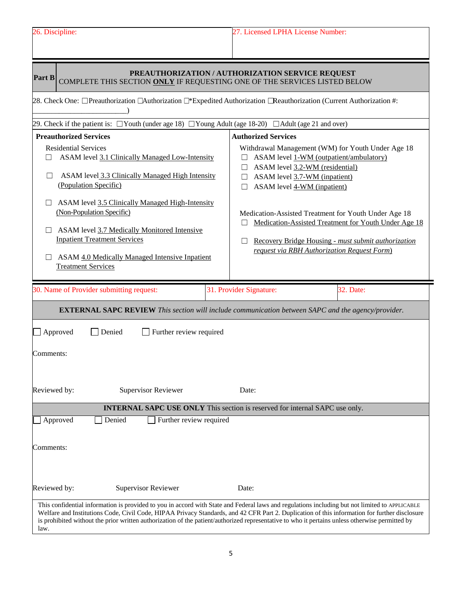| 26. Discipline:                                                                                                                                                                                                                                                                                                                                                                                                                                                                                                | 27. Licensed LPHA License Number:                                                                                                                                                                                                                                                                                                                                                                                                                             |  |  |
|----------------------------------------------------------------------------------------------------------------------------------------------------------------------------------------------------------------------------------------------------------------------------------------------------------------------------------------------------------------------------------------------------------------------------------------------------------------------------------------------------------------|---------------------------------------------------------------------------------------------------------------------------------------------------------------------------------------------------------------------------------------------------------------------------------------------------------------------------------------------------------------------------------------------------------------------------------------------------------------|--|--|
| Part B<br>COMPLETE THIS SECTION ONLY IF REQUESTING ONE OF THE SERVICES LISTED BELOW<br>28. Check One: □Preauthorization □Authorization □*Expedited Authorization □Reauthorization (Current Authorization #:                                                                                                                                                                                                                                                                                                    | PREAUTHORIZATION / AUTHORIZATION SERVICE REQUEST                                                                                                                                                                                                                                                                                                                                                                                                              |  |  |
| 29. Check if the patient is: $\Box$ Youth (under age 18) $\Box$ Young Adult (age 18-20) $\Box$ Adult (age 21 and over)<br><b>Preauthorized Services</b><br><b>Residential Services</b><br>ASAM level 3.1 Clinically Managed Low-Intensity<br>П<br>ASAM level 3.3 Clinically Managed High Intensity<br>$\perp$<br>(Population Specific)<br>ASAM level 3.5 Clinically Managed High-Intensity<br>(Non-Population Specific)<br>ASAM level 3.7 Medically Monitored Intensive<br><b>Inpatient Treatment Services</b> | <b>Authorized Services</b><br>Withdrawal Management (WM) for Youth Under Age 18<br>ASAM level 1-WM (outpatient/ambulatory)<br>ASAM level 3.2-WM (residential)<br>ASAM level 3.7-WM (inpatient)<br>ASAM level 4-WM (inpatient)<br>Medication-Assisted Treatment for Youth Under Age 18<br>Medication-Assisted Treatment for Youth Under Age 18<br>Recovery Bridge Housing - must submit authorization<br>$\Box$<br>request via RBH Authorization Request Form) |  |  |
| ASAM 4.0 Medically Managed Intensive Inpatient<br><b>Treatment Services</b><br>30. Name of Provider submitting request:                                                                                                                                                                                                                                                                                                                                                                                        | 31. Provider Signature:<br>32. Date:<br><b>EXTERNAL SAPC REVIEW</b> This section will include communication between SAPC and the agency/provider.                                                                                                                                                                                                                                                                                                             |  |  |
| Approved<br>Further review required<br>Denied<br>Comments:<br>Reviewed by:<br><b>Supervisor Reviewer</b>                                                                                                                                                                                                                                                                                                                                                                                                       | Date:                                                                                                                                                                                                                                                                                                                                                                                                                                                         |  |  |
|                                                                                                                                                                                                                                                                                                                                                                                                                                                                                                                | <b>INTERNAL SAPC USE ONLY</b> This section is reserved for internal SAPC use only.                                                                                                                                                                                                                                                                                                                                                                            |  |  |
| Approved<br>Denied<br>Further review required                                                                                                                                                                                                                                                                                                                                                                                                                                                                  |                                                                                                                                                                                                                                                                                                                                                                                                                                                               |  |  |
| Comments:                                                                                                                                                                                                                                                                                                                                                                                                                                                                                                      |                                                                                                                                                                                                                                                                                                                                                                                                                                                               |  |  |
| Reviewed by:<br><b>Supervisor Reviewer</b>                                                                                                                                                                                                                                                                                                                                                                                                                                                                     | Date:                                                                                                                                                                                                                                                                                                                                                                                                                                                         |  |  |
| is prohibited without the prior written authorization of the patient/authorized representative to who it pertains unless otherwise permitted by<br>law.                                                                                                                                                                                                                                                                                                                                                        | This confidential information is provided to you in accord with State and Federal laws and regulations including but not limited to APPLICABLE<br>Welfare and Institutions Code, Civil Code, HIPAA Privacy Standards, and 42 CFR Part 2. Duplication of this information for further disclosure                                                                                                                                                               |  |  |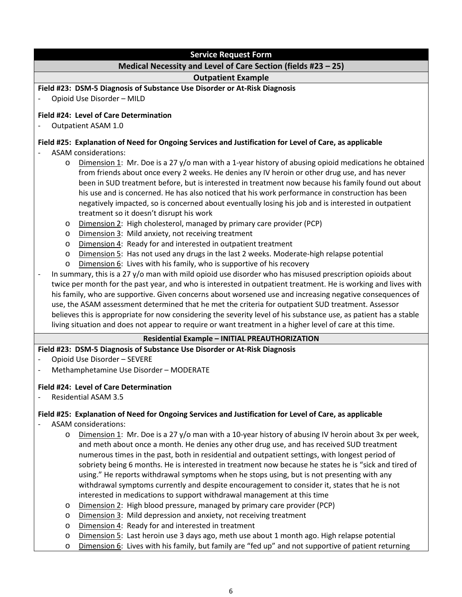| <b>Service Request Form</b>                                                                                                                                                                                                                                                                                                                                                                                                                                                                                                                                                                                                                                                                                                                                                                                                                                                                                                                                                                                                                                                                                                                                                                                                                                                                                                                             |
|---------------------------------------------------------------------------------------------------------------------------------------------------------------------------------------------------------------------------------------------------------------------------------------------------------------------------------------------------------------------------------------------------------------------------------------------------------------------------------------------------------------------------------------------------------------------------------------------------------------------------------------------------------------------------------------------------------------------------------------------------------------------------------------------------------------------------------------------------------------------------------------------------------------------------------------------------------------------------------------------------------------------------------------------------------------------------------------------------------------------------------------------------------------------------------------------------------------------------------------------------------------------------------------------------------------------------------------------------------|
| Medical Necessity and Level of Care Section (fields #23 - 25)                                                                                                                                                                                                                                                                                                                                                                                                                                                                                                                                                                                                                                                                                                                                                                                                                                                                                                                                                                                                                                                                                                                                                                                                                                                                                           |
| <b>Outpatient Example</b>                                                                                                                                                                                                                                                                                                                                                                                                                                                                                                                                                                                                                                                                                                                                                                                                                                                                                                                                                                                                                                                                                                                                                                                                                                                                                                                               |
| Field #23: DSM-5 Diagnosis of Substance Use Disorder or At-Risk Diagnosis<br>Opioid Use Disorder - MILD                                                                                                                                                                                                                                                                                                                                                                                                                                                                                                                                                                                                                                                                                                                                                                                                                                                                                                                                                                                                                                                                                                                                                                                                                                                 |
| Field #24: Level of Care Determination                                                                                                                                                                                                                                                                                                                                                                                                                                                                                                                                                                                                                                                                                                                                                                                                                                                                                                                                                                                                                                                                                                                                                                                                                                                                                                                  |
| Outpatient ASAM 1.0                                                                                                                                                                                                                                                                                                                                                                                                                                                                                                                                                                                                                                                                                                                                                                                                                                                                                                                                                                                                                                                                                                                                                                                                                                                                                                                                     |
| Field #25: Explanation of Need for Ongoing Services and Justification for Level of Care, as applicable<br><b>ASAM</b> considerations:<br>Dimension 1: Mr. Doe is a 27 y/o man with a 1-year history of abusing opioid medications he obtained<br>O<br>from friends about once every 2 weeks. He denies any IV heroin or other drug use, and has never<br>been in SUD treatment before, but is interested in treatment now because his family found out about<br>his use and is concerned. He has also noticed that his work performance in construction has been<br>negatively impacted, so is concerned about eventually losing his job and is interested in outpatient<br>treatment so it doesn't disrupt his work<br>Dimension 2: High cholesterol, managed by primary care provider (PCP)<br>$\circ$<br>Dimension 3: Mild anxiety, not receiving treatment<br>O<br>Dimension 4: Ready for and interested in outpatient treatment<br>O<br>Dimension 5: Has not used any drugs in the last 2 weeks. Moderate-high relapse potential<br>O<br>Dimension 6: Lives with his family, who is supportive of his recovery<br>O<br>In summary, this is a 27 y/o man with mild opioid use disorder who has misused prescription opioids about<br>twice per month for the past year, and who is interested in outpatient treatment. He is working and lives with |
| his family, who are supportive. Given concerns about worsened use and increasing negative consequences of<br>use, the ASAM assessment determined that he met the criteria for outpatient SUD treatment. Assessor<br>believes this is appropriate for now considering the severity level of his substance use, as patient has a stable<br>living situation and does not appear to require or want treatment in a higher level of care at this time.                                                                                                                                                                                                                                                                                                                                                                                                                                                                                                                                                                                                                                                                                                                                                                                                                                                                                                      |
| <b>Residential Example - INITIAL PREAUTHORIZATION</b>                                                                                                                                                                                                                                                                                                                                                                                                                                                                                                                                                                                                                                                                                                                                                                                                                                                                                                                                                                                                                                                                                                                                                                                                                                                                                                   |
| Field #23: DSM-5 Diagnosis of Substance Use Disorder or At-Risk Diagnosis                                                                                                                                                                                                                                                                                                                                                                                                                                                                                                                                                                                                                                                                                                                                                                                                                                                                                                                                                                                                                                                                                                                                                                                                                                                                               |
| Opioid Use Disorder - SEVERE<br>$\overline{\phantom{a}}$                                                                                                                                                                                                                                                                                                                                                                                                                                                                                                                                                                                                                                                                                                                                                                                                                                                                                                                                                                                                                                                                                                                                                                                                                                                                                                |
| Methamphetamine Use Disorder - MODERATE                                                                                                                                                                                                                                                                                                                                                                                                                                                                                                                                                                                                                                                                                                                                                                                                                                                                                                                                                                                                                                                                                                                                                                                                                                                                                                                 |
| Field #24: Level of Care Determination                                                                                                                                                                                                                                                                                                                                                                                                                                                                                                                                                                                                                                                                                                                                                                                                                                                                                                                                                                                                                                                                                                                                                                                                                                                                                                                  |
| <b>Residential ASAM 3.5</b>                                                                                                                                                                                                                                                                                                                                                                                                                                                                                                                                                                                                                                                                                                                                                                                                                                                                                                                                                                                                                                                                                                                                                                                                                                                                                                                             |
| Field #25: Explanation of Need for Ongoing Services and Justification for Level of Care, as applicable<br><b>ASAM</b> considerations:                                                                                                                                                                                                                                                                                                                                                                                                                                                                                                                                                                                                                                                                                                                                                                                                                                                                                                                                                                                                                                                                                                                                                                                                                   |
| Dimension 1: Mr. Doe is a 27 y/o man with a 10-year history of abusing IV heroin about 3x per week,<br>O<br>and meth about once a month. He denies any other drug use, and has received SUD treatment<br>numerous times in the past, both in residential and outpatient settings, with longest period of<br>sobriety being 6 months. He is interested in treatment now because he states he is "sick and tired of<br>using." He reports withdrawal symptoms when he stops using, but is not presenting with any<br>withdrawal symptoms currently and despite encouragement to consider it, states that he is not<br>interested in medications to support withdrawal management at this time<br>Dimension 2: High blood pressure, managed by primary care provider (PCP)<br>O<br>Dimension 3: Mild depression and anxiety, not receiving treatment<br>O<br>Dimension 4: Ready for and interested in treatment<br>O<br>Dimension 5: Last heroin use 3 days ago, meth use about 1 month ago. High relapse potential<br>$\circ$                                                                                                                                                                                                                                                                                                                             |

o Dimension 6: Lives with his family, but family are "fed up" and not supportive of patient returning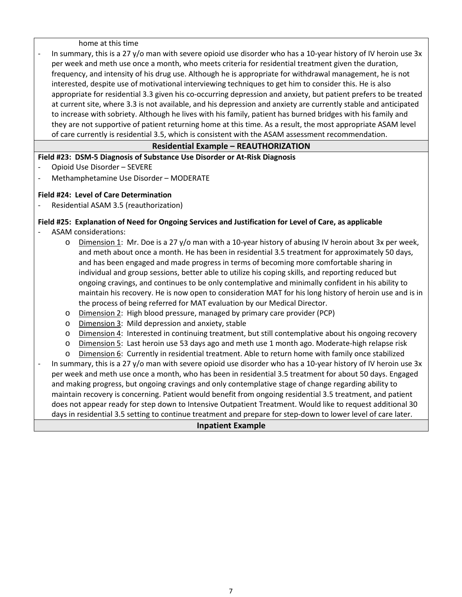home at this time

In summary, this is a 27 y/o man with severe opioid use disorder who has a 10-year history of IV heroin use 3x per week and meth use once a month, who meets criteria for residential treatment given the duration, frequency, and intensity of his drug use. Although he is appropriate for withdrawal management, he is not interested, despite use of motivational interviewing techniques to get him to consider this. He is also appropriate for residential 3.3 given his co-occurring depression and anxiety, but patient prefers to be treated at current site, where 3.3 is not available, and his depression and anxiety are currently stable and anticipated to increase with sobriety. Although he lives with his family, patient has burned bridges with his family and they are not supportive of patient returning home at this time. As a result, the most appropriate ASAM level of care currently is residential 3.5, which is consistent with the ASAM assessment recommendation.

## **Residential Example – REAUTHORIZATION**

**Field #23: DSM-5 Diagnosis of Substance Use Disorder or At-Risk Diagnosis**

- Opioid Use Disorder SEVERE
- Methamphetamine Use Disorder MODERATE

### **Field #24: Level of Care Determination**

Residential ASAM 3.5 (reauthorization)

# **Field #25: Explanation of Need for Ongoing Services and Justification for Level of Care, as applicable**

- ASAM considerations:
	- o Dimension 1: Mr. Doe is a 27 y/o man with a 10-year history of abusing IV heroin about 3x per week, and meth about once a month. He has been in residential 3.5 treatment for approximately 50 days, and has been engaged and made progress in terms of becoming more comfortable sharing in individual and group sessions, better able to utilize his coping skills, and reporting reduced but ongoing cravings, and continues to be only contemplative and minimally confident in his ability to maintain his recovery. He is now open to consideration MAT for his long history of heroin use and is in the process of being referred for MAT evaluation by our Medical Director.
	- o Dimension 2: High blood pressure, managed by primary care provider (PCP)
	- o Dimension 3: Mild depression and anxiety, stable
	- o Dimension 4: Interested in continuing treatment, but still contemplative about his ongoing recovery
	- o Dimension 5: Last heroin use 53 days ago and meth use 1 month ago. Moderate-high relapse risk
	- o Dimension 6: Currently in residential treatment. Able to return home with family once stabilized

In summary, this is a 27 y/o man with severe opioid use disorder who has a 10-year history of IV heroin use 3x per week and meth use once a month, who has been in residential 3.5 treatment for about 50 days. Engaged and making progress, but ongoing cravings and only contemplative stage of change regarding ability to maintain recovery is concerning. Patient would benefit from ongoing residential 3.5 treatment, and patient does not appear ready for step down to Intensive Outpatient Treatment. Would like to request additional 30 days in residential 3.5 setting to continue treatment and prepare for step-down to lower level of care later.

#### **Inpatient Example**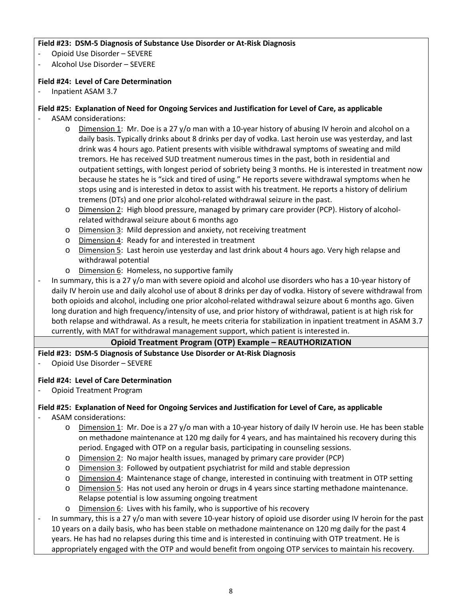### **Field #23: DSM-5 Diagnosis of Substance Use Disorder or At-Risk Diagnosis**

- Opioid Use Disorder SEVERE
- Alcohol Use Disorder SEVERE

## **Field #24: Level of Care Determination**

- Inpatient ASAM 3.7

## **Field #25: Explanation of Need for Ongoing Services and Justification for Level of Care, as applicable**

- ASAM considerations:
	- o Dimension 1: Mr. Doe is a 27 y/o man with a 10-year history of abusing IV heroin and alcohol on a daily basis. Typically drinks about 8 drinks per day of vodka. Last heroin use was yesterday, and last drink was 4 hours ago. Patient presents with visible withdrawal symptoms of sweating and mild tremors. He has received SUD treatment numerous times in the past, both in residential and outpatient settings, with longest period of sobriety being 3 months. He is interested in treatment now because he states he is "sick and tired of using." He reports severe withdrawal symptoms when he stops using and is interested in detox to assist with his treatment. He reports a history of delirium tremens (DTs) and one prior alcohol-related withdrawal seizure in the past.
	- o Dimension 2: High blood pressure, managed by primary care provider (PCP). History of alcoholrelated withdrawal seizure about 6 months ago
	- o Dimension 3: Mild depression and anxiety, not receiving treatment
	- o Dimension 4: Ready for and interested in treatment
	- o Dimension 5: Last heroin use yesterday and last drink about 4 hours ago. Very high relapse and withdrawal potential
	- o Dimension 6: Homeless, no supportive family
- In summary, this is a 27 y/o man with severe opioid and alcohol use disorders who has a 10-year history of daily IV heroin use and daily alcohol use of about 8 drinks per day of vodka. History of severe withdrawal from both opioids and alcohol, including one prior alcohol-related withdrawal seizure about 6 months ago. Given long duration and high frequency/intensity of use, and prior history of withdrawal, patient is at high risk for both relapse and withdrawal. As a result, he meets criteria for stabilization in inpatient treatment in ASAM 3.7 currently, with MAT for withdrawal management support, which patient is interested in.

## **Opioid Treatment Program (OTP) Example – REAUTHORIZATION**

#### **Field #23: DSM-5 Diagnosis of Substance Use Disorder or At-Risk Diagnosis**

- Opioid Use Disorder – SEVERE

#### **Field #24: Level of Care Determination**

- Opioid Treatment Program

#### **Field #25: Explanation of Need for Ongoing Services and Justification for Level of Care, as applicable**

- ASAM considerations:
	- o Dimension 1: Mr. Doe is a 27 y/o man with a 10-year history of daily IV heroin use. He has been stable on methadone maintenance at 120 mg daily for 4 years, and has maintained his recovery during this period. Engaged with OTP on a regular basis, participating in counseling sessions.
	- o Dimension 2: No major health issues, managed by primary care provider (PCP)
	- o Dimension 3: Followed by outpatient psychiatrist for mild and stable depression
	- o Dimension 4: Maintenance stage of change, interested in continuing with treatment in OTP setting
	- o Dimension 5: Has not used any heroin or drugs in 4 years since starting methadone maintenance. Relapse potential is low assuming ongoing treatment
	- o Dimension 6: Lives with his family, who is supportive of his recovery
- In summary, this is a 27 y/o man with severe 10-year history of opioid use disorder using IV heroin for the past 10 years on a daily basis, who has been stable on methadone maintenance on 120 mg daily for the past 4 years. He has had no relapses during this time and is interested in continuing with OTP treatment. He is appropriately engaged with the OTP and would benefit from ongoing OTP services to maintain his recovery.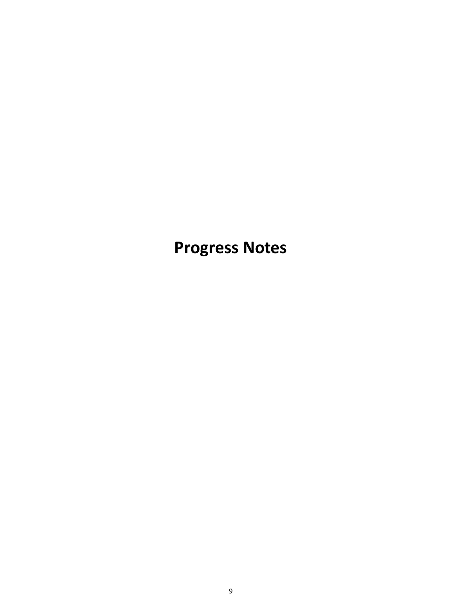**Progress Notes**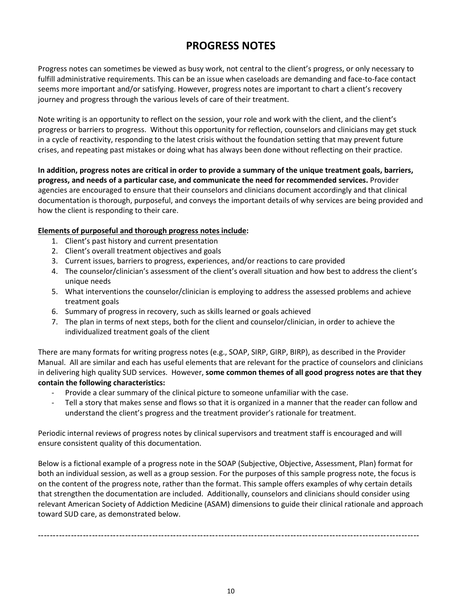# **PROGRESS NOTES**

Progress notes can sometimes be viewed as busy work, not central to the client's progress, or only necessary to fulfill administrative requirements. This can be an issue when caseloads are demanding and face-to-face contact seems more important and/or satisfying. However, progress notes are important to chart a client's recovery journey and progress through the various levels of care of their treatment.

Note writing is an opportunity to reflect on the session, your role and work with the client, and the client's progress or barriers to progress. Without this opportunity for reflection, counselors and clinicians may get stuck in a cycle of reactivity, responding to the latest crisis without the foundation setting that may prevent future crises, and repeating past mistakes or doing what has always been done without reflecting on their practice.

**In addition, progress notes are critical in order to provide a summary of the unique treatment goals, barriers, progress, and needs of a particular case, and communicate the need for recommended services.** Provider agencies are encouraged to ensure that their counselors and clinicians document accordingly and that clinical documentation is thorough, purposeful, and conveys the important details of why services are being provided and how the client is responding to their care.

### **Elements of purposeful and thorough progress notes include:**

- 1. Client's past history and current presentation
- 2. Client's overall treatment objectives and goals
- 3. Current issues, barriers to progress, experiences, and/or reactions to care provided
- 4. The counselor/clinician's assessment of the client's overall situation and how best to address the client's unique needs
- 5. What interventions the counselor/clinician is employing to address the assessed problems and achieve treatment goals
- 6. Summary of progress in recovery, such as skills learned or goals achieved
- 7. The plan in terms of next steps, both for the client and counselor/clinician, in order to achieve the individualized treatment goals of the client

There are many formats for writing progress notes (e.g., SOAP, SIRP, GIRP, BIRP), as described in the Provider Manual. All are similar and each has useful elements that are relevant for the practice of counselors and clinicians in delivering high quality SUD services. However, **some common themes of all good progress notes are that they contain the following characteristics:**

- Provide a clear summary of the clinical picture to someone unfamiliar with the case.
- Tell a story that makes sense and flows so that it is organized in a manner that the reader can follow and understand the client's progress and the treatment provider's rationale for treatment.

Periodic internal reviews of progress notes by clinical supervisors and treatment staff is encouraged and will ensure consistent quality of this documentation.

Below is a fictional example of a progress note in the SOAP (Subjective, Objective, Assessment, Plan) format for both an individual session, as well as a group session. For the purposes of this sample progress note, the focus is on the content of the progress note, rather than the format. This sample offers examples of why certain details that strengthen the documentation are included. Additionally, counselors and clinicians should consider using relevant American Society of Addiction Medicine (ASAM) dimensions to guide their clinical rationale and approach toward SUD care, as demonstrated below.

-------------------------------------------------------------------------------------------------------------------------------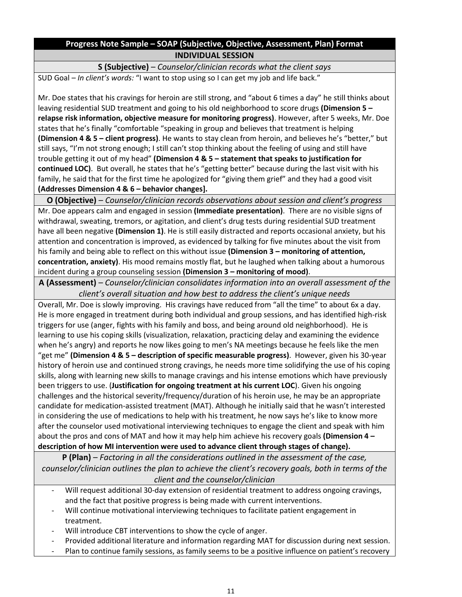# **Progress Note Sample – SOAP (Subjective, Objective, Assessment, Plan) Format INDIVIDUAL SESSION**

# **S (Subjective)** – *Counselor/clinician records what the client says*

SUD Goal – *In client's words:* "I want to stop using so I can get my job and life back."

Mr. Doe states that his cravings for heroin are still strong, and "about 6 times a day" he still thinks about leaving residential SUD treatment and going to his old neighborhood to score drugs **(Dimension 5 – relapse risk information, objective measure for monitoring progress)**. However, after 5 weeks, Mr. Doe states that he's finally "comfortable "speaking in group and believes that treatment is helping **(Dimension 4 & 5 – client progress)**. He wants to stay clean from heroin, and believes he's "better," but still says, "I'm not strong enough; I still can't stop thinking about the feeling of using and still have trouble getting it out of my head" **(Dimension 4 & 5 – statement that speaks to justification for continued LOC)**. But overall, he states that he's "getting better" because during the last visit with his family, he said that for the first time he apologized for "giving them grief" and they had a good visit **(Addresses Dimension 4 & 6 – behavior changes].**

**O (Objective)** – *Counselor/clinician records observations about session and client's progress* Mr. Doe appears calm and engaged in session **(Immediate presentation)**. There are no visible signs of withdrawal, sweating, tremors, or agitation, and client's drug tests during residential SUD treatment have all been negative **(Dimension 1)**. He is still easily distracted and reports occasional anxiety, but his attention and concentration is improved, as evidenced by talking for five minutes about the visit from his family and being able to reflect on this without issue **(Dimension 3 – monitoring of attention, concentration, anxiety)**. His mood remains mostly flat, but he laughed when talking about a humorous incident during a group counseling session **(Dimension 3 – monitoring of mood)**.

**A (Assessment)** – *Counselor/clinician consolidates information into an overall assessment of the client's overall situation and how best to address the client's unique needs*

Overall, Mr. Doe is slowly improving. His cravings have reduced from "all the time" to about 6x a day. He is more engaged in treatment during both individual and group sessions, and has identified high-risk triggers for use (anger, fights with his family and boss, and being around old neighborhood). He is learning to use his coping skills (visualization, relaxation, practicing delay and examining the evidence when he's angry) and reports he now likes going to men's NA meetings because he feels like the men "get me" **(Dimension 4 & 5 – description of specific measurable progress)**. However, given his 30-year history of heroin use and continued strong cravings, he needs more time solidifying the use of his coping skills, along with learning new skills to manage cravings and his intense emotions which have previously been triggers to use. (**Justification for ongoing treatment at his current LOC**). Given his ongoing challenges and the historical severity/frequency/duration of his heroin use, he may be an appropriate candidate for medication-assisted treatment (MAT). Although he initially said that he wasn't interested in considering the use of medications to help with his treatment, he now says he's like to know more after the counselor used motivational interviewing techniques to engage the client and speak with him about the pros and cons of MAT and how it may help him achieve his recovery goals **(Dimension 4 – description of how MI intervention were used to advance client through stages of change).**

**P (Plan)** – *Factoring in all the considerations outlined in the assessment of the case, counselor/clinician outlines the plan to achieve the client's recovery goals, both in terms of the client and the counselor/clinician*

- Will request additional 30-day extension of residential treatment to address ongoing cravings, and the fact that positive progress is being made with current interventions.
- Will continue motivational interviewing techniques to facilitate patient engagement in treatment.
- Will introduce CBT interventions to show the cycle of anger.
- Provided additional literature and information regarding MAT for discussion during next session.
- Plan to continue family sessions, as family seems to be a positive influence on patient's recovery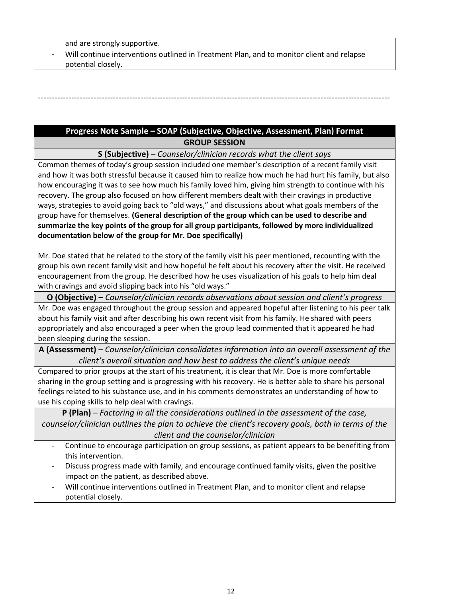and are strongly supportive.

Will continue interventions outlined in Treatment Plan, and to monitor client and relapse potential closely.

# **Progress Note Sample – SOAP (Subjective, Objective, Assessment, Plan) Format GROUP SESSION**

-------------------------------------------------------------------------------------------------------------------------------

**S (Subjective)** – *Counselor/clinician records what the client says*

Common themes of today's group session included one member's description of a recent family visit and how it was both stressful because it caused him to realize how much he had hurt his family, but also how encouraging it was to see how much his family loved him, giving him strength to continue with his recovery. The group also focused on how different members dealt with their cravings in productive ways, strategies to avoid going back to "old ways," and discussions about what goals members of the group have for themselves. **(General description of the group which can be used to describe and summarize the key points of the group for all group participants, followed by more individualized documentation below of the group for Mr. Doe specifically)**

Mr. Doe stated that he related to the story of the family visit his peer mentioned, recounting with the group his own recent family visit and how hopeful he felt about his recovery after the visit. He received encouragement from the group. He described how he uses visualization of his goals to help him deal with cravings and avoid slipping back into his "old ways."

**O (Objective)** – *Counselor/clinician records observations about session and client's progress*

Mr. Doe was engaged throughout the group session and appeared hopeful after listening to his peer talk about his family visit and after describing his own recent visit from his family. He shared with peers appropriately and also encouraged a peer when the group lead commented that it appeared he had been sleeping during the session.

**A (Assessment)** – *Counselor/clinician consolidates information into an overall assessment of the client's overall situation and how best to address the client's unique needs*

Compared to prior groups at the start of his treatment, it is clear that Mr. Doe is more comfortable sharing in the group setting and is progressing with his recovery. He is better able to share his personal feelings related to his substance use, and in his comments demonstrates an understanding of how to use his coping skills to help deal with cravings.

**P (Plan)** – *Factoring in all the considerations outlined in the assessment of the case, counselor/clinician outlines the plan to achieve the client's recovery goals, both in terms of the client and the counselor/clinician*

- Continue to encourage participation on group sessions, as patient appears to be benefiting from this intervention.
- Discuss progress made with family, and encourage continued family visits, given the positive impact on the patient, as described above.
- Will continue interventions outlined in Treatment Plan, and to monitor client and relapse potential closely.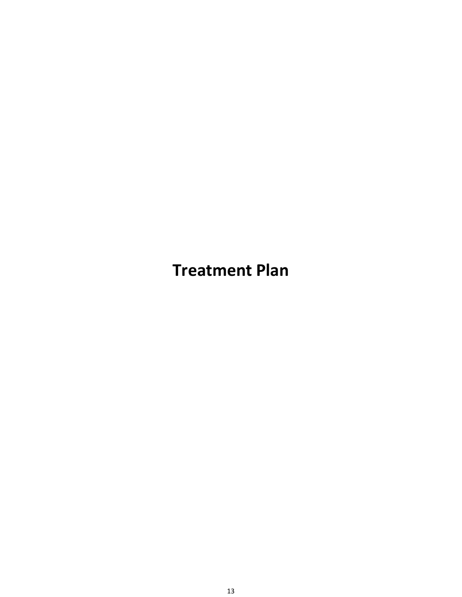**Treatment Plan**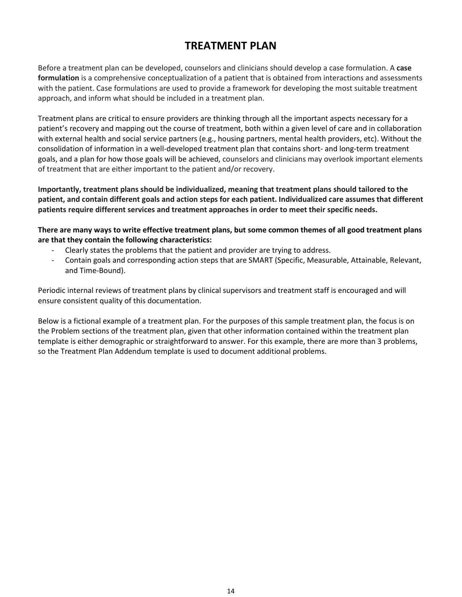# **TREATMENT PLAN**

Before a treatment plan can be developed, counselors and clinicians should develop a case formulation. A **case formulation** is a comprehensive conceptualization of a patient that is obtained from interactions and assessments with the patient. Case formulations are used to provide a framework for developing the most suitable treatment approach, and inform what should be included in a treatment plan.

Treatment plans are critical to ensure providers are thinking through all the important aspects necessary for a patient's recovery and mapping out the course of treatment, both within a given level of care and in collaboration with external health and social service partners (e.g., housing partners, mental health providers, etc). Without the consolidation of information in a well-developed treatment plan that contains short- and long-term treatment goals, and a plan for how those goals will be achieved, counselors and clinicians may overlook important elements of treatment that are either important to the patient and/or recovery.

**Importantly, treatment plans should be individualized, meaning that treatment plans should tailored to the patient, and contain different goals and action steps for each patient. Individualized care assumes that different patients require different services and treatment approaches in order to meet their specific needs.** 

**There are many ways to write effective treatment plans, but some common themes of all good treatment plans are that they contain the following characteristics:**

- Clearly states the problems that the patient and provider are trying to address.
- Contain goals and corresponding action steps that are SMART (Specific, Measurable, Attainable, Relevant, and Time-Bound).

Periodic internal reviews of treatment plans by clinical supervisors and treatment staff is encouraged and will ensure consistent quality of this documentation.

Below is a fictional example of a treatment plan. For the purposes of this sample treatment plan, the focus is on the Problem sections of the treatment plan, given that other information contained within the treatment plan template is either demographic or straightforward to answer. For this example, there are more than 3 problems, so the Treatment Plan Addendum template is used to document additional problems.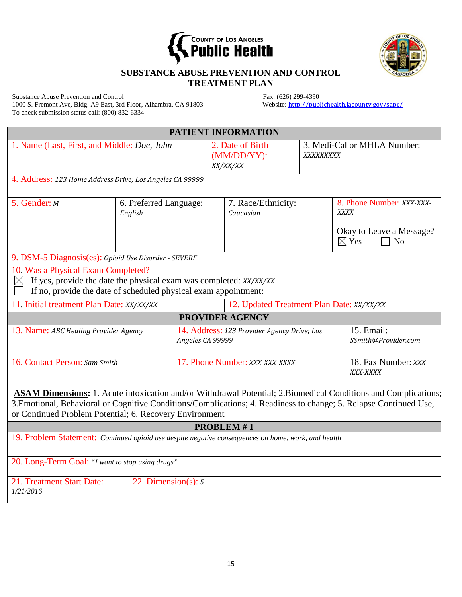



# **SUBSTANCE ABUSE PREVENTION AND CONTROL TREATMENT PLAN**

Substance Abuse Prevention and Control<br>
1000 S. Fremont Ave, Bldg. A9 East, 3rd Floor, Alhambra, CA 91803<br>
Website: http://publichealth.lacounty.gov/sapc/ 1000 S. Fremont Ave, Bldg. A9 East, 3rd Floor, Alhambra, CA 91803 To check submission status call: (800) 832-6334

|                                                                                                                                                                                                                                                                                                 |                                   |                  |                                                | PATIENT INFORMATION    |                                          |                                                                                                      |  |
|-------------------------------------------------------------------------------------------------------------------------------------------------------------------------------------------------------------------------------------------------------------------------------------------------|-----------------------------------|------------------|------------------------------------------------|------------------------|------------------------------------------|------------------------------------------------------------------------------------------------------|--|
| 1. Name (Last, First, and Middle: Doe, John                                                                                                                                                                                                                                                     |                                   |                  | 2. Date of Birth<br>$(MM/DD/YY)$ :<br>XX/XX/XX |                        | 3. Medi-Cal or MHLA Number:<br>XXXXXXXXX |                                                                                                      |  |
| 4. Address: 123 Home Address Drive; Los Angeles CA 99999                                                                                                                                                                                                                                        |                                   |                  |                                                |                        |                                          |                                                                                                      |  |
| 5. Gender: M                                                                                                                                                                                                                                                                                    | 6. Preferred Language:<br>English |                  | 7. Race/Ethnicity:<br>Caucasian                |                        |                                          | 8. Phone Number: XXX-XXX-<br><b>XXXX</b><br>Okay to Leave a Message?<br>$\boxtimes$ Yes<br>$\Box$ No |  |
| 9. DSM-5 Diagnosis(es): Opioid Use Disorder - SEVERE                                                                                                                                                                                                                                            |                                   |                  |                                                |                        |                                          |                                                                                                      |  |
| 10. Was a Physical Exam Completed?<br>If yes, provide the date the physical exam was completed: XX/XX/XX<br>$\boxtimes$<br>If no, provide the date of scheduled physical exam appointment:                                                                                                      |                                   |                  |                                                |                        |                                          |                                                                                                      |  |
| 11. Initial treatment Plan Date: XX/XX/XX                                                                                                                                                                                                                                                       |                                   |                  | 12. Updated Treatment Plan Date: XX/XX/XX      |                        |                                          |                                                                                                      |  |
|                                                                                                                                                                                                                                                                                                 |                                   |                  |                                                | <b>PROVIDER AGENCY</b> |                                          |                                                                                                      |  |
| 13. Name: ABC Healing Provider Agency                                                                                                                                                                                                                                                           |                                   | Angeles CA 99999 | 14. Address: 123 Provider Agency Drive; Los    |                        |                                          | 15. Email:<br>SSmith@Provider.com                                                                    |  |
| 16. Contact Person: Sam Smith                                                                                                                                                                                                                                                                   |                                   |                  | 17. Phone Number: XXX-XXX-XXXX                 |                        |                                          | 18. Fax Number: XXX-<br>XXX-XXXX                                                                     |  |
| ASAM Dimensions: 1. Acute intoxication and/or Withdrawal Potential; 2. Biomedical Conditions and Complications;<br>3. Emotional, Behavioral or Cognitive Conditions/Complications; 4. Readiness to change; 5. Relapse Continued Use,<br>or Continued Problem Potential; 6. Recovery Environment |                                   |                  |                                                |                        |                                          |                                                                                                      |  |
| <b>PROBLEM#1</b>                                                                                                                                                                                                                                                                                |                                   |                  |                                                |                        |                                          |                                                                                                      |  |
| 19. Problem Statement: Continued opioid use despite negative consequences on home, work, and health                                                                                                                                                                                             |                                   |                  |                                                |                        |                                          |                                                                                                      |  |
| 20. Long-Term Goal: "I want to stop using drugs"                                                                                                                                                                                                                                                |                                   |                  |                                                |                        |                                          |                                                                                                      |  |
| 21. Treatment Start Date:<br>1/21/2016                                                                                                                                                                                                                                                          | 22. Dimension(s): $5$             |                  |                                                |                        |                                          |                                                                                                      |  |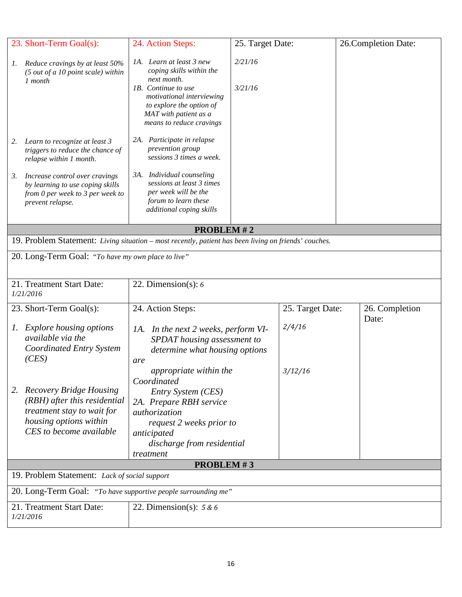|          | 23. Short-Term Goal(s):                                                                                                                               | 24. Action Steps:                                                                                                                                                                                                                                          | 25. Target Date:   |                  | 26. Completion Date: |
|----------|-------------------------------------------------------------------------------------------------------------------------------------------------------|------------------------------------------------------------------------------------------------------------------------------------------------------------------------------------------------------------------------------------------------------------|--------------------|------------------|----------------------|
| Ι.<br>2. | Reduce cravings by at least 50%<br>(5 out of a 10 point scale) within<br>1 month<br>Learn to recognize at least 3<br>triggers to reduce the chance of | 1A. Learn at least 3 new<br>coping skills within the<br>next month.<br>1B. Continue to use<br>motivational interviewing<br>to explore the option of<br>MAT with patient as a<br>means to reduce cravings<br>2A. Participate in relapse<br>prevention group | 2/21/16<br>3/21/16 |                  |                      |
| 3.       | relapse within 1 month.<br>Increase control over cravings<br>by learning to use coping skills<br>from 0 per week to 3 per week to<br>prevent relapse. | sessions 3 times a week.<br>3A. Individual counseling<br>sessions at least 3 times<br>per week will be the<br>forum to learn these<br>additional coping skills                                                                                             |                    |                  |                      |
|          |                                                                                                                                                       |                                                                                                                                                                                                                                                            |                    |                  |                      |
|          |                                                                                                                                                       | <b>PROBLEM#2</b>                                                                                                                                                                                                                                           |                    |                  |                      |
|          | 19. Problem Statement: Living situation – most recently, patient has been living on friends' couches.                                                 |                                                                                                                                                                                                                                                            |                    |                  |                      |
|          | 20. Long-Term Goal: "To have my own place to live"                                                                                                    |                                                                                                                                                                                                                                                            |                    |                  |                      |
|          | 21. Treatment Start Date:<br>1/21/2016                                                                                                                | 22. Dimension(s): $6$                                                                                                                                                                                                                                      |                    |                  |                      |
|          | 23. Short-Term Goal(s):                                                                                                                               | 24. Action Steps:                                                                                                                                                                                                                                          |                    | 25. Target Date: | 26. Completion       |
| Ι.       | <b>Explore housing options</b><br>available via the<br><b>Coordinated Entry System</b><br>(CES)                                                       | 1A. In the next 2 weeks, perform VI-<br>SPDAT housing assessment to<br>determine what housing options<br>are                                                                                                                                               |                    | 2/4/16           | Date:                |
| 2.       | <b>Recovery Bridge Housing</b><br>(RBH) after this residential<br>treatment stay to wait for<br>housing options within<br>CES to become available     | <i>appropriate within the</i><br>Coordinated<br>Entry System (CES)<br>2A. Prepare RBH service<br>authorization<br>request 2 weeks prior to<br>anticipated<br>discharge from residential<br>treatment                                                       |                    | 3/12/16          |                      |
|          |                                                                                                                                                       | <b>PROBLEM#3</b>                                                                                                                                                                                                                                           |                    |                  |                      |
|          | 19. Problem Statement: Lack of social support                                                                                                         |                                                                                                                                                                                                                                                            |                    |                  |                      |
|          | 20. Long-Term Goal: "To have supportive people surrounding me"                                                                                        |                                                                                                                                                                                                                                                            |                    |                  |                      |
|          | 21. Treatment Start Date:<br>1/21/2016                                                                                                                | 22. Dimension(s): $5 & 6$                                                                                                                                                                                                                                  |                    |                  |                      |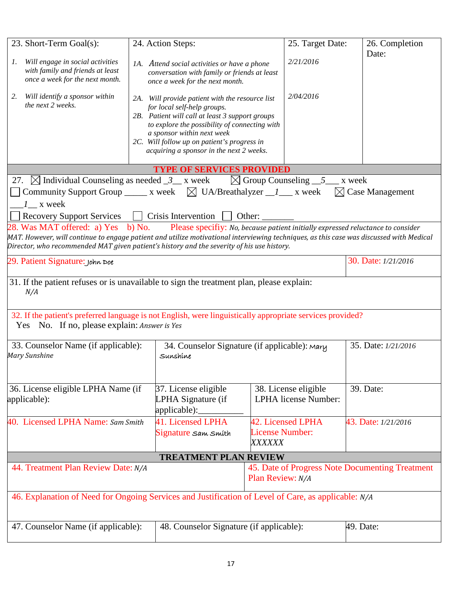| 23. Short-Term Goal(s):                                                                                                                                                                                                               |                                                                                                            | 24. Action Steps:                                                                                                                                                                                                                                                                                           |                                         | 25. Target Date:                                    |           | 26. Completion<br>Date: |  |
|---------------------------------------------------------------------------------------------------------------------------------------------------------------------------------------------------------------------------------------|------------------------------------------------------------------------------------------------------------|-------------------------------------------------------------------------------------------------------------------------------------------------------------------------------------------------------------------------------------------------------------------------------------------------------------|-----------------------------------------|-----------------------------------------------------|-----------|-------------------------|--|
| Will engage in social activities<br>1.<br>with family and friends at least<br>once a week for the next month.                                                                                                                         |                                                                                                            | 1A. Attend social activities or have a phone<br>conversation with family or friends at least<br>once a week for the next month.                                                                                                                                                                             |                                         | 2/21/2016                                           |           |                         |  |
| Will identify a sponsor within<br>2.<br>the next 2 weeks.                                                                                                                                                                             |                                                                                                            | 2A. Will provide patient with the resource list<br>for local self-help groups.<br>2B. Patient will call at least 3 support groups<br>to explore the possibility of connecting with<br>a sponsor within next week<br>2C. Will follow up on patient's progress in<br>acquiring a sponsor in the next 2 weeks. |                                         | 2/04/2016                                           |           |                         |  |
|                                                                                                                                                                                                                                       |                                                                                                            | <b>TYPE OF SERVICES PROVIDED</b>                                                                                                                                                                                                                                                                            |                                         |                                                     |           |                         |  |
| 27. $\boxtimes$ Individual Counseling as needed $\frac{3}{2}$ x week                                                                                                                                                                  |                                                                                                            |                                                                                                                                                                                                                                                                                                             |                                         | $\boxtimes$ Group Counseling $5$ x week             |           |                         |  |
| Community Support Group ______ x week $\boxtimes$ UA/Breathalyzer ______ x week $\boxtimes$ Case Management<br>$1\_\ x$ week                                                                                                          |                                                                                                            |                                                                                                                                                                                                                                                                                                             |                                         |                                                     |           |                         |  |
| Recovery Support Services                                                                                                                                                                                                             |                                                                                                            | $Crisis$ Intervention<br>Other:                                                                                                                                                                                                                                                                             |                                         |                                                     |           |                         |  |
| 28. Was MAT offered: a) Yes b) No.                                                                                                                                                                                                    |                                                                                                            | Please specifiy: No, because patient initially expressed reluctance to consider                                                                                                                                                                                                                             |                                         |                                                     |           |                         |  |
| MAT. However, will continue to engage patient and utilize motivational interviewing techniques, as this case was discussed with Medical<br>Director, who recommended MAT given patient's history and the severity of his use history. |                                                                                                            |                                                                                                                                                                                                                                                                                                             |                                         |                                                     |           |                         |  |
| 29. Patient Signature: John Doe                                                                                                                                                                                                       | 30. Date: 1/21/2016                                                                                        |                                                                                                                                                                                                                                                                                                             |                                         |                                                     |           |                         |  |
| 31. If the patient refuses or is unavailable to sign the treatment plan, please explain:<br>N/A                                                                                                                                       |                                                                                                            |                                                                                                                                                                                                                                                                                                             |                                         |                                                     |           |                         |  |
| 32. If the patient's preferred language is not English, were linguistically appropriate services provided?<br>Yes No. If no, please explain: Answer is Yes                                                                            |                                                                                                            |                                                                                                                                                                                                                                                                                                             |                                         |                                                     |           |                         |  |
| 33. Counselor Name (if applicable):<br>Mary Sunshine                                                                                                                                                                                  |                                                                                                            | 34. Counselor Signature (if applicable): Mary<br>Sunshine                                                                                                                                                                                                                                                   |                                         |                                                     |           | 35. Date: 1/21/2016     |  |
| 36. License eligible LPHA Name (if<br>applicable):                                                                                                                                                                                    |                                                                                                            | 37. License eligible<br>LPHA Signature (if<br>applicable):                                                                                                                                                                                                                                                  |                                         | 38. License eligible<br><b>LPHA</b> license Number: |           | 39. Date:               |  |
| 40. Licensed LPHA Name: Sam Smith<br>41. Licensed LPHA<br>Signature sam smíth                                                                                                                                                         |                                                                                                            |                                                                                                                                                                                                                                                                                                             | <b>License Number:</b><br><i>XXXXXX</i> | 42. Licensed LPHA                                   |           | 43. Date: 1/21/2016     |  |
|                                                                                                                                                                                                                                       |                                                                                                            | <b>TREATMENT PLAN REVIEW</b>                                                                                                                                                                                                                                                                                |                                         |                                                     |           |                         |  |
|                                                                                                                                                                                                                                       | 44. Treatment Plan Review Date: N/A<br>45. Date of Progress Note Documenting Treatment<br>Plan Review: N/A |                                                                                                                                                                                                                                                                                                             |                                         |                                                     |           |                         |  |
| 46. Explanation of Need for Ongoing Services and Justification of Level of Care, as applicable: N/A                                                                                                                                   |                                                                                                            |                                                                                                                                                                                                                                                                                                             |                                         |                                                     |           |                         |  |
| 47. Counselor Name (if applicable):<br>48. Counselor Signature (if applicable):                                                                                                                                                       |                                                                                                            |                                                                                                                                                                                                                                                                                                             |                                         |                                                     | 49. Date: |                         |  |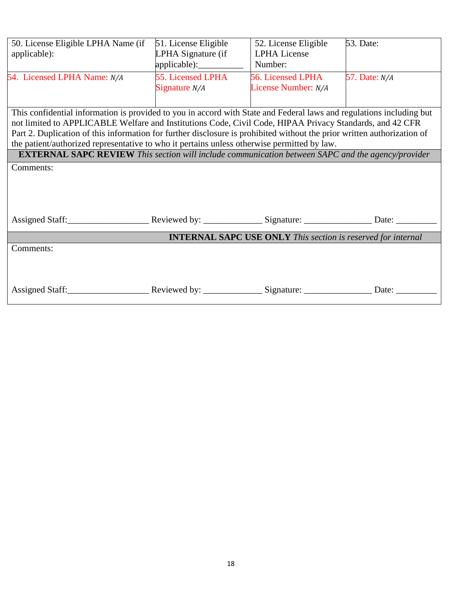| 50. License Eligible LPHA Name (if<br>applicable): | 51. License Eligible<br>LPHA Signature (if<br>$appliedble$ : | 52. License Eligible<br><b>LPHA License</b><br>Number: | <b>53.</b> Date:            |
|----------------------------------------------------|--------------------------------------------------------------|--------------------------------------------------------|-----------------------------|
| 54. Licensed LPHA Name: N/A                        | 55. Licensed LPHA<br>Signature $N/A$                         | 56. Licensed LPHA<br>License Number: N/A               | <b>57.</b> Date: <i>N/A</i> |

This confidential information is provided to you in accord with State and Federal laws and regulations including but not limited to APPLICABLE Welfare and Institutions Code, Civil Code, HIPAA Privacy Standards, and 42 CFR Part 2. Duplication of this information for further disclosure is prohibited without the prior written authorization of the patient/authorized representative to who it pertains unless otherwise permitted by law.

**EXTERNAL SAPC REVIEW** *This section will include communication between SAPC and the agency/provider*

Comments:

| Assigned Staff: | Reviewed by: $\sqrt{\frac{1}{2}$ | Signature:                                                          | Date: |
|-----------------|----------------------------------|---------------------------------------------------------------------|-------|
|                 |                                  | <b>INTERNAL SAPC USE ONLY This section is reserved for internal</b> |       |
| Comments:       |                                  |                                                                     |       |
|                 |                                  |                                                                     |       |
|                 |                                  |                                                                     |       |
| Assigned Staff: | Reviewed by:                     | Signature:                                                          | Date: |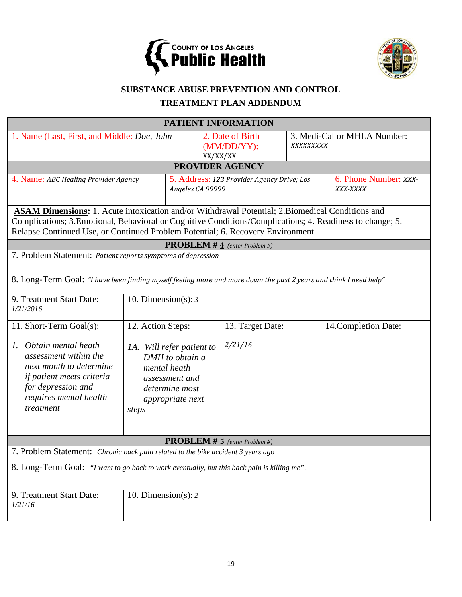



# **SUBSTANCE ABUSE PREVENTION AND CONTROL**

# **TREATMENT PLAN ADDENDUM**

|                                                                                                                                                                                                                                                                                                 |                                                                                                                                          |                                            | <b>PATIENT INFORMATION</b>                        |                                   |                             |  |  |  |
|-------------------------------------------------------------------------------------------------------------------------------------------------------------------------------------------------------------------------------------------------------------------------------------------------|------------------------------------------------------------------------------------------------------------------------------------------|--------------------------------------------|---------------------------------------------------|-----------------------------------|-----------------------------|--|--|--|
| 1. Name (Last, First, and Middle: Doe, John                                                                                                                                                                                                                                                     |                                                                                                                                          |                                            | 2. Date of Birth<br>$(MM/DD/YY)$ :<br>XX/XX/XX    | XXXXXXXXX                         | 3. Medi-Cal or MHLA Number: |  |  |  |
|                                                                                                                                                                                                                                                                                                 | <b>PROVIDER AGENCY</b>                                                                                                                   |                                            |                                                   |                                   |                             |  |  |  |
| 4. Name: ABC Healing Provider Agency                                                                                                                                                                                                                                                            | Angeles CA 99999                                                                                                                         | 5. Address: 123 Provider Agency Drive; Los |                                                   | 6. Phone Number: XXX-<br>XXX-XXXX |                             |  |  |  |
| ASAM Dimensions: 1. Acute intoxication and/or Withdrawal Potential; 2. Biomedical Conditions and<br>Complications; 3. Emotional, Behavioral or Cognitive Conditions/Complications; 4. Readiness to change; 5.<br>Relapse Continued Use, or Continued Problem Potential; 6. Recovery Environment |                                                                                                                                          |                                            |                                                   |                                   |                             |  |  |  |
|                                                                                                                                                                                                                                                                                                 |                                                                                                                                          |                                            | <b>PROBLEM</b> # $\overline{4}$ (enter Problem #) |                                   |                             |  |  |  |
| 7. Problem Statement: Patient reports symptoms of depression                                                                                                                                                                                                                                    |                                                                                                                                          |                                            |                                                   |                                   |                             |  |  |  |
| 8. Long-Term Goal: "I have been finding myself feeling more and more down the past 2 years and think I need help"                                                                                                                                                                               |                                                                                                                                          |                                            |                                                   |                                   |                             |  |  |  |
| 9. Treatment Start Date:<br>1/21/2016                                                                                                                                                                                                                                                           | 10. Dimension(s): $3$                                                                                                                    |                                            |                                                   |                                   |                             |  |  |  |
| 11. Short-Term Goal(s):                                                                                                                                                                                                                                                                         | 12. Action Steps:                                                                                                                        |                                            | 13. Target Date:                                  |                                   | 14. Completion Date:        |  |  |  |
| Obtain mental heath<br>Ι.<br>assessment within the<br>next month to determine<br>if patient meets criteria<br>for depression and<br>requires mental health<br>treatment                                                                                                                         | 2/21/16<br>1A. Will refer patient to<br>DMH to obtain a<br>mental heath<br>assessment and<br>determine most<br>appropriate next<br>steps |                                            |                                                   |                                   |                             |  |  |  |
|                                                                                                                                                                                                                                                                                                 |                                                                                                                                          |                                            | <b>PROBLEM</b> # $\frac{1}{2}$ (enter Problem #)  |                                   |                             |  |  |  |
| 7. Problem Statement: Chronic back pain related to the bike accident 3 years ago                                                                                                                                                                                                                |                                                                                                                                          |                                            |                                                   |                                   |                             |  |  |  |
| 8. Long-Term Goal: "I want to go back to work eventually, but this back pain is killing me".                                                                                                                                                                                                    |                                                                                                                                          |                                            |                                                   |                                   |                             |  |  |  |
| 9. Treatment Start Date:<br>1/21/16                                                                                                                                                                                                                                                             | 10. Dimension(s): $2 \pi$                                                                                                                |                                            |                                                   |                                   |                             |  |  |  |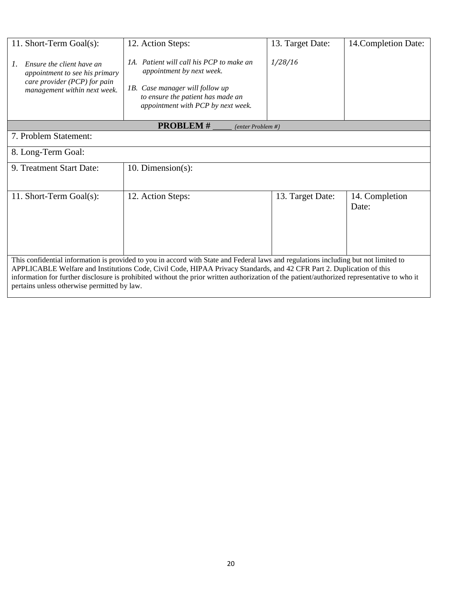| 11. Short-Term Goal(s):                                                                                                                                                                                                                                                                                                                                                                                                                                    | 12. Action Steps:                                                                                                                                                                   | 13. Target Date: | 14. Completion Date:    |  |  |
|------------------------------------------------------------------------------------------------------------------------------------------------------------------------------------------------------------------------------------------------------------------------------------------------------------------------------------------------------------------------------------------------------------------------------------------------------------|-------------------------------------------------------------------------------------------------------------------------------------------------------------------------------------|------------------|-------------------------|--|--|
| Ensure the client have an<br>$\mathcal{L}$<br>appointment to see his primary<br>care provider (PCP) for pain<br>management within next week.                                                                                                                                                                                                                                                                                                               | 1A. Patient will call his PCP to make an<br>appointment by next week.<br>1B. Case manager will follow up<br>to ensure the patient has made an<br>appointment with PCP by next week. | 1/28/16          |                         |  |  |
|                                                                                                                                                                                                                                                                                                                                                                                                                                                            | <b>PROBLEM#</b><br>(enter Problem #)                                                                                                                                                |                  |                         |  |  |
| 7. Problem Statement:                                                                                                                                                                                                                                                                                                                                                                                                                                      |                                                                                                                                                                                     |                  |                         |  |  |
| 8. Long-Term Goal:                                                                                                                                                                                                                                                                                                                                                                                                                                         |                                                                                                                                                                                     |                  |                         |  |  |
| 9. Treatment Start Date:                                                                                                                                                                                                                                                                                                                                                                                                                                   | 10. Dimension $(s)$ :                                                                                                                                                               |                  |                         |  |  |
| 11. Short-Term Goal(s):                                                                                                                                                                                                                                                                                                                                                                                                                                    | 12. Action Steps:                                                                                                                                                                   | 13. Target Date: | 14. Completion<br>Date: |  |  |
| This confidential information is provided to you in accord with State and Federal laws and regulations including but not limited to<br>APPLICABLE Welfare and Institutions Code, Civil Code, HIPAA Privacy Standards, and 42 CFR Part 2. Duplication of this<br>information for further disclosure is prohibited without the prior written authorization of the patient/authorized representative to who it<br>pertains unless otherwise permitted by law. |                                                                                                                                                                                     |                  |                         |  |  |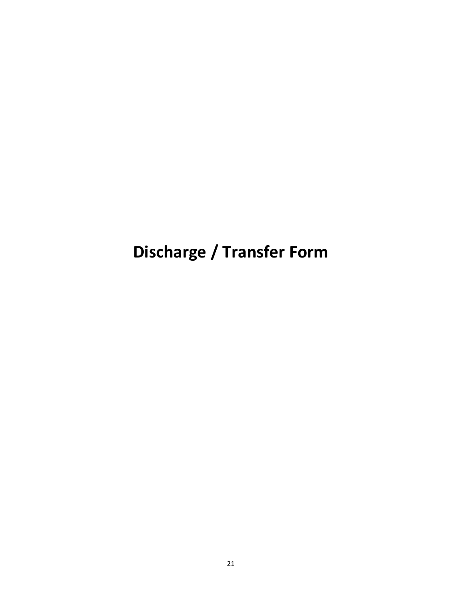# **Discharge / Transfer Form**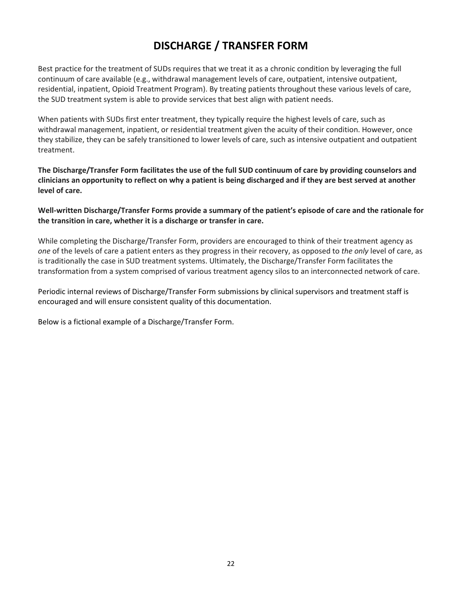# **DISCHARGE / TRANSFER FORM**

Best practice for the treatment of SUDs requires that we treat it as a chronic condition by leveraging the full continuum of care available (e.g., withdrawal management levels of care, outpatient, intensive outpatient, residential, inpatient, Opioid Treatment Program). By treating patients throughout these various levels of care, the SUD treatment system is able to provide services that best align with patient needs.

When patients with SUDs first enter treatment, they typically require the highest levels of care, such as withdrawal management, inpatient, or residential treatment given the acuity of their condition. However, once they stabilize, they can be safely transitioned to lower levels of care, such as intensive outpatient and outpatient treatment.

**The Discharge/Transfer Form facilitates the use of the full SUD continuum of care by providing counselors and clinicians an opportunity to reflect on why a patient is being discharged and if they are best served at another level of care.** 

**Well-written Discharge/Transfer Forms provide a summary of the patient's episode of care and the rationale for the transition in care, whether it is a discharge or transfer in care.**

While completing the Discharge/Transfer Form, providers are encouraged to think of their treatment agency as *one* of the levels of care a patient enters as they progress in their recovery, as opposed to *the only* level of care, as is traditionally the case in SUD treatment systems. Ultimately, the Discharge/Transfer Form facilitates the transformation from a system comprised of various treatment agency silos to an interconnected network of care.

Periodic internal reviews of Discharge/Transfer Form submissions by clinical supervisors and treatment staff is encouraged and will ensure consistent quality of this documentation.

Below is a fictional example of a Discharge/Transfer Form.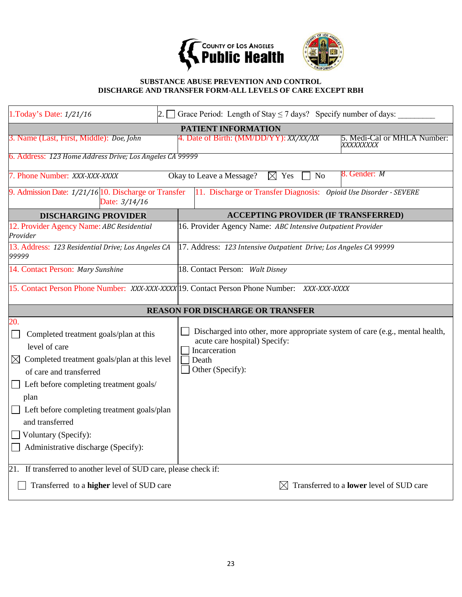



## **SUBSTANCE ABUSE PREVENTION AND CONTROL DISCHARGE AND TRANSFER FORM-ALL LEVELS OF CARE EXCEPT RBH**

| 1. Today's Date: 1/21/16<br>2.                                                                                                                                                                                                                                                                                                            | Grace Period: Length of Stay $\leq$ 7 days? Specify number of days:                                                                                         |  |  |  |  |
|-------------------------------------------------------------------------------------------------------------------------------------------------------------------------------------------------------------------------------------------------------------------------------------------------------------------------------------------|-------------------------------------------------------------------------------------------------------------------------------------------------------------|--|--|--|--|
|                                                                                                                                                                                                                                                                                                                                           | <b>PATIENT INFORMATION</b>                                                                                                                                  |  |  |  |  |
| 3. Name (Last, First, Middle): <i>Doe, John</i>                                                                                                                                                                                                                                                                                           | 4. Date of Birth: (MM/DD/YY): XX/XX/XX<br>5. Medi-Cal or MHLA Number:<br>XXXXXXXXX                                                                          |  |  |  |  |
| 6. Address: 123 Home Address Drive; Los Angeles CA 99999                                                                                                                                                                                                                                                                                  |                                                                                                                                                             |  |  |  |  |
| 7. Phone Number: XXX-XXX-XXXX                                                                                                                                                                                                                                                                                                             | 8. Gender: M<br>Okay to Leave a Message?<br>$\boxtimes$ Yes<br><b>No</b>                                                                                    |  |  |  |  |
| 9. Admission Date: 1/21/16 10. Discharge or Transfer<br>11. Discharge or Transfer Diagnosis: Opioid Use Disorder - SEVERE<br>Date: 3/14/16                                                                                                                                                                                                |                                                                                                                                                             |  |  |  |  |
| <b>DISCHARGING PROVIDER</b>                                                                                                                                                                                                                                                                                                               | <b>ACCEPTING PROVIDER (IF TRANSFERRED)</b>                                                                                                                  |  |  |  |  |
| 12. Provider Agency Name: ABC Residential<br>Provider                                                                                                                                                                                                                                                                                     | 16. Provider Agency Name: ABC Intensive Outpatient Provider                                                                                                 |  |  |  |  |
| 13. Address: 123 Residential Drive; Los Angeles CA<br>99999                                                                                                                                                                                                                                                                               | 17. Address: 123 Intensive Outpatient Drive; Los Angeles CA 99999                                                                                           |  |  |  |  |
| 14. Contact Person: Mary Sunshine                                                                                                                                                                                                                                                                                                         | 18. Contact Person: Walt Disney                                                                                                                             |  |  |  |  |
|                                                                                                                                                                                                                                                                                                                                           | 15. Contact Person Phone Number: XXX-XXX-XXXX 19. Contact Person Phone Number: XXX-XXX-XXXX                                                                 |  |  |  |  |
|                                                                                                                                                                                                                                                                                                                                           | <b>REASON FOR DISCHARGE OR TRANSFER</b>                                                                                                                     |  |  |  |  |
| 20.<br>Completed treatment goals/plan at this<br>level of care<br>$\boxtimes$ Completed treatment goals/plan at this level<br>of care and transferred<br>Left before completing treatment goals/<br>plan<br>Left before completing treatment goals/plan<br>and transferred<br>Voluntary (Specify):<br>Administrative discharge (Specify): | Discharged into other, more appropriate system of care (e.g., mental health,<br>acute care hospital) Specify:<br>Incarceration<br>Death<br>Other (Specify): |  |  |  |  |
| 21. If transferred to another level of SUD care, please check if:<br>Transferred to a <b>higher</b> level of SUD care                                                                                                                                                                                                                     | Transferred to a lower level of SUD care                                                                                                                    |  |  |  |  |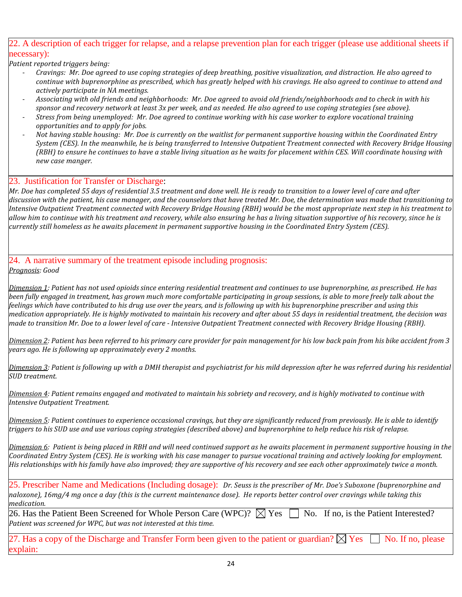# 22. A description of each trigger for relapse, and a relapse prevention plan for each trigger (please use additional sheets if necessary):

*Patient reported triggers being:* 

- *Cravings: Mr. Doe agreed to use coping strategies of deep breathing, positive visualization, and distraction. He also agreed to continue with buprenorphine as prescribed, which has greatly helped with his cravings. He also agreed to continue to attend and actively participate in NA meetings.*
- *Associating with old friends and neighborhoods: Mr. Doe agreed to avoid old friends/neighborhoods and to check in with his sponsor and recovery network at least 3x per week, and as needed. He also agreed to use coping strategies (see above).*
- *Stress from being unemployed: Mr. Doe agreed to continue working with his case worker to explore vocational training opportunities and to apply for jobs.*
- *Not having stable housing: Mr. Doe is currently on the waitlist for permanent supportive housing within the Coordinated Entry System (CES). In the meanwhile, he is being transferred to Intensive Outpatient Treatment connected with Recovery Bridge Housing (RBH) to ensure he continues to have a stable living situation as he waits for placement within CES. Will coordinate housing with new case manger.*

#### 23. Justification for Transfer or Discharge:

*Mr. Doe has completed 55 days of residential 3.5 treatment and done well. He is ready to transition to a lower level of care and after discussion with the patient, his case manager, and the counselors that have treated Mr. Doe, the determination was made that transitioning to Intensive Outpatient Treatment connected with Recovery Bridge Housing (RBH) would be the most appropriate next step in his treatment to allow him to continue with his treatment and recovery, while also ensuring he has a living situation supportive of his recovery, since he is currently still homeless as he awaits placement in permanent supportive housing in the Coordinated Entry System (CES).* 

#### 24. A narrative summary of the treatment episode including prognosis: *Prognosis: Good*

*Dimension 1: Patient has not used opioids since entering residential treatment and continues to use buprenorphine, as prescribed. He has been fully engaged in treatment, has grown much more comfortable participating in group sessions, is able to more freely talk about the feelings which have contributed to his drug use over the years, and is following up with his buprenorphine prescriber and using this medication appropriately. He is highly motivated to maintain his recovery and after about 55 days in residential treatment, the decision was made to transition Mr. Doe to a lower level of care - Intensive Outpatient Treatment connected with Recovery Bridge Housing (RBH).*

*Dimension 2: Patient has been referred to his primary care provider for pain management for his low back pain from his bike accident from 3 years ago. He is following up approximately every 2 months.*

*Dimension 3: Patient is following up with a DMH therapist and psychiatrist for his mild depression after he was referred during his residential SUD treatment.* 

*Dimension 4: Patient remains engaged and motivated to maintain his sobriety and recovery, and is highly motivated to continue with Intensive Outpatient Treatment.* 

*Dimension 5: Patient continues to experience occasional cravings, but they are significantly reduced from previously. He is able to identify triggers to his SUD use and use various coping strategies (described above) and buprenorphine to help reduce his risk of relapse.* 

*Dimension 6: Patient is being placed in RBH and will need continued support as he awaits placement in permanent supportive housing in the Coordinated Entry System (CES). He is working with his case manager to pursue vocational training and actively looking for employment. His relationships with his family have also improved; they are supportive of his recovery and see each other approximately twice a month.*

25. Prescriber Name and Medications (Including dosage): *Dr. Seuss is the prescriber of Mr. Doe's Suboxone (buprenorphine and naloxone), 16mg/4 mg once a day (this is the current maintenance dose). He reports better control over cravings while taking this medication.*

26. Has the Patient Been Screened for Whole Person Care (WPC)?  $\boxtimes$  Yes  $\Box$  No. If no, is the Patient Interested? *Patient was screened for WPC, but was not interested at this time.*

27. Has a copy of the Discharge and Transfer Form been given to the patient or guardian?  $\boxtimes$  Yes  $\Box$  No. If no, please xplain: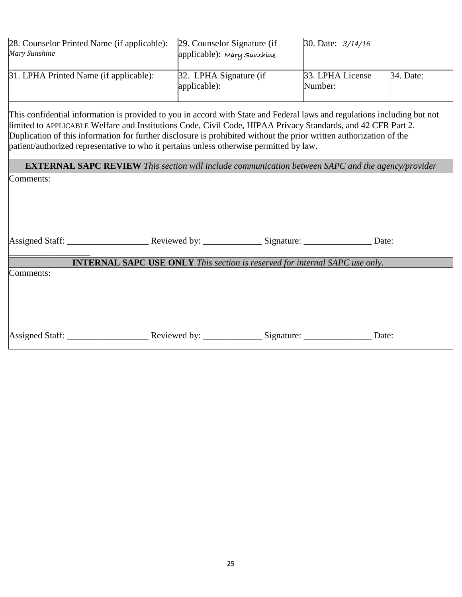| 28. Counselor Printed Name (if applicable):<br>Mary Sunshine | 29. Counselor Signature (if<br>applicable): Mary Sunshine | 30. Date: $3/14/16$         |           |
|--------------------------------------------------------------|-----------------------------------------------------------|-----------------------------|-----------|
| 31. LPHA Printed Name (if applicable):                       | 32. LPHA Signature (if<br>applicable):                    | 33. LPHA License<br>Number: | 34. Date: |

This confidential information is provided to you in accord with State and Federal laws and regulations including but not limited to APPLICABLE Welfare and Institutions Code, Civil Code, HIPAA Privacy Standards, and 42 CFR Part 2. Duplication of this information for further disclosure is prohibited without the prior written authorization of the patient/authorized representative to who it pertains unless otherwise permitted by law.

**EXTERNAL SAPC REVIEW** *This section will include communication between SAPC and the agency/provider*

Comments:

|                                 |                                                                                    | Signature: Date: |       |
|---------------------------------|------------------------------------------------------------------------------------|------------------|-------|
|                                 | <b>INTERNAL SAPC USE ONLY</b> This section is reserved for internal SAPC use only. |                  |       |
| Comments:                       |                                                                                    |                  |       |
| Assigned Staff: _______________ |                                                                                    |                  | Date: |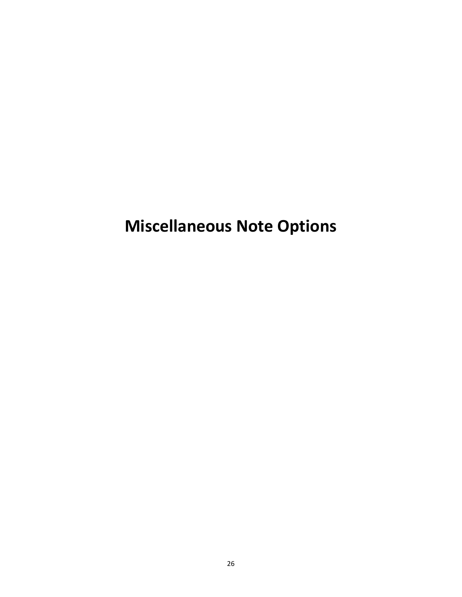# **Miscellaneous Note Options**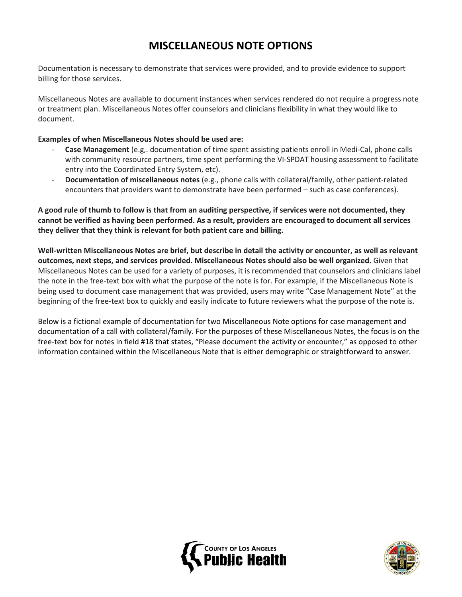# **MISCELLANEOUS NOTE OPTIONS**

Documentation is necessary to demonstrate that services were provided, and to provide evidence to support billing for those services.

Miscellaneous Notes are available to document instances when services rendered do not require a progress note or treatment plan. Miscellaneous Notes offer counselors and clinicians flexibility in what they would like to document.

## **Examples of when Miscellaneous Notes should be used are:**

- **Case Management** (e.g,. documentation of time spent assisting patients enroll in Medi-Cal, phone calls with community resource partners, time spent performing the VI-SPDAT housing assessment to facilitate entry into the Coordinated Entry System, etc).
- **Documentation of miscellaneous notes** (e.g., phone calls with collateral/family, other patient-related encounters that providers want to demonstrate have been performed – such as case conferences).

**A good rule of thumb to follow is that from an auditing perspective, if services were not documented, they cannot be verified as having been performed. As a result, providers are encouraged to document all services they deliver that they think is relevant for both patient care and billing.** 

**Well-written Miscellaneous Notes are brief, but describe in detail the activity or encounter, as well as relevant outcomes, next steps, and services provided. Miscellaneous Notes should also be well organized.** Given that Miscellaneous Notes can be used for a variety of purposes, it is recommended that counselors and clinicians label the note in the free-text box with what the purpose of the note is for. For example, if the Miscellaneous Note is being used to document case management that was provided, users may write "Case Management Note" at the beginning of the free-text box to quickly and easily indicate to future reviewers what the purpose of the note is.

Below is a fictional example of documentation for two Miscellaneous Note options for case management and documentation of a call with collateral/family. For the purposes of these Miscellaneous Notes, the focus is on the free-text box for notes in field #18 that states, "Please document the activity or encounter," as opposed to other information contained within the Miscellaneous Note that is either demographic or straightforward to answer.



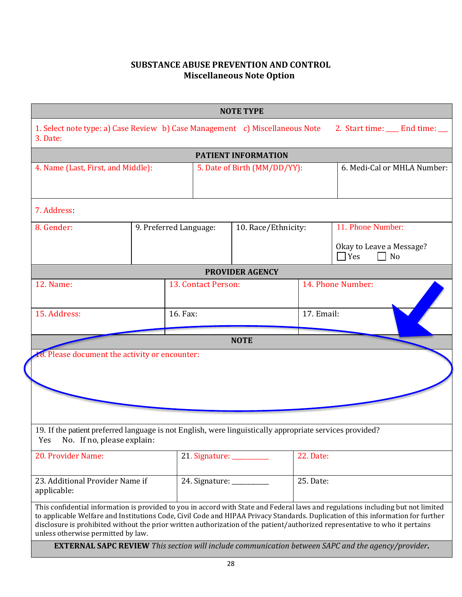# **SUBSTANCE ABUSE PREVENTION AND CONTROL Miscellaneous Note Option**

|                                                                                                                                                                                             |  |                                               | <b>NOTE TYPE</b>             |                   |                                                                                                                                                                                                                                                                                                                                                                                                                                                                                                                   |  |
|---------------------------------------------------------------------------------------------------------------------------------------------------------------------------------------------|--|-----------------------------------------------|------------------------------|-------------------|-------------------------------------------------------------------------------------------------------------------------------------------------------------------------------------------------------------------------------------------------------------------------------------------------------------------------------------------------------------------------------------------------------------------------------------------------------------------------------------------------------------------|--|
| 1. Select note type: a) Case Review b) Case Management c) Miscellaneous Note<br>3. Date:                                                                                                    |  |                                               |                              |                   | 2. Start time: ___ End time: __                                                                                                                                                                                                                                                                                                                                                                                                                                                                                   |  |
|                                                                                                                                                                                             |  |                                               | <b>PATIENT INFORMATION</b>   |                   |                                                                                                                                                                                                                                                                                                                                                                                                                                                                                                                   |  |
| 4. Name (Last, First, and Middle):                                                                                                                                                          |  |                                               | 5. Date of Birth (MM/DD/YY): |                   | 6. Medi-Cal or MHLA Number:                                                                                                                                                                                                                                                                                                                                                                                                                                                                                       |  |
| 7. Address:                                                                                                                                                                                 |  |                                               |                              |                   |                                                                                                                                                                                                                                                                                                                                                                                                                                                                                                                   |  |
| 8. Gender:                                                                                                                                                                                  |  | 9. Preferred Language:<br>10. Race/Ethnicity: |                              |                   | 11. Phone Number:                                                                                                                                                                                                                                                                                                                                                                                                                                                                                                 |  |
|                                                                                                                                                                                             |  |                                               |                              |                   | Okay to Leave a Message?<br>Yes<br>N <sub>o</sub>                                                                                                                                                                                                                                                                                                                                                                                                                                                                 |  |
|                                                                                                                                                                                             |  |                                               | <b>PROVIDER AGENCY</b>       |                   |                                                                                                                                                                                                                                                                                                                                                                                                                                                                                                                   |  |
| 12. Name:                                                                                                                                                                                   |  | 13. Contact Person:                           |                              | 14. Phone Number: |                                                                                                                                                                                                                                                                                                                                                                                                                                                                                                                   |  |
| 15. Address:                                                                                                                                                                                |  | 16. Fax:                                      |                              | 17. Email:        |                                                                                                                                                                                                                                                                                                                                                                                                                                                                                                                   |  |
|                                                                                                                                                                                             |  |                                               | <b>NOTE</b>                  |                   |                                                                                                                                                                                                                                                                                                                                                                                                                                                                                                                   |  |
| 8. Please document the activity or encounter:<br>19. If the patient preferred language is not English, were linguistically appropriate services provided?<br>Yes No. If no, please explain: |  |                                               |                              |                   |                                                                                                                                                                                                                                                                                                                                                                                                                                                                                                                   |  |
| 20. Provider Name:                                                                                                                                                                          |  | 21. Signature: __________                     |                              | 22. Date:         |                                                                                                                                                                                                                                                                                                                                                                                                                                                                                                                   |  |
| 23. Additional Provider Name if<br>applicable:                                                                                                                                              |  | 24. Signature: __________                     |                              | 25. Date:         |                                                                                                                                                                                                                                                                                                                                                                                                                                                                                                                   |  |
| unless otherwise permitted by law.                                                                                                                                                          |  |                                               |                              |                   | This confidential information is provided to you in accord with State and Federal laws and regulations including but not limited<br>to applicable Welfare and Institutions Code, Civil Code and HIPAA Privacy Standards. Duplication of this information for further<br>disclosure is prohibited without the prior written authorization of the patient/authorized representative to who it pertains<br><b>EXTERNAL SAPC REVIEW</b> This section will include communication between SAPC and the agency/provider. |  |